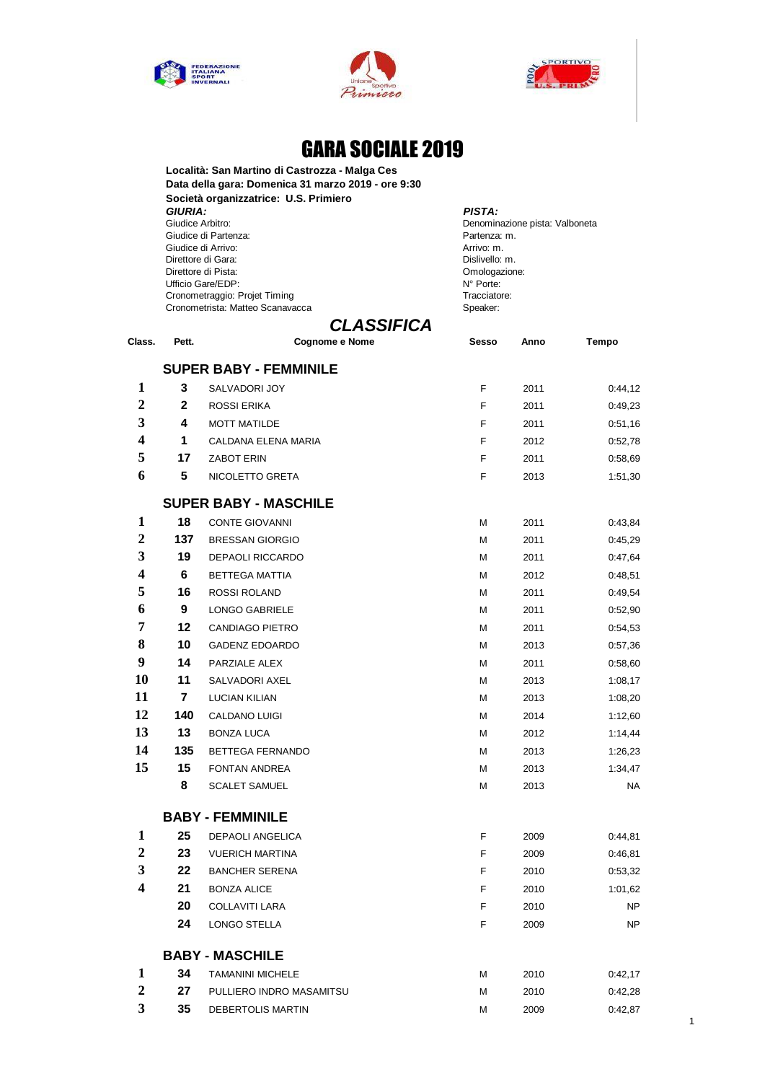





## GARA SOCIALE 2019

**Località: San Martino di Castrozza - Malga Ces Data della gara: Domenica 31 marzo 2019 - ore 9:30 Società organizzatrice: U.S. Primiero GIURIA:** PISTA: *PISTA:* PISTA: **PISTA: PISTA: PISTA: PISTA:** *PISTA:* Giudice di Partenza:<br>
Giudice di Arrivo:<br>
Arrivo: m. Giudice di Arrivo: et al. et al. et al. et al. et al. et al. et al. et al. et al. et al. et al. et al. et al. e<br>Arrivo: m. et al. et al. et al. et al. et al. et al. et al. et al. et al. et al. et al. et al. et al. et al. e Direttore di Gara: Dislivello: m. Direttore di Pista: Ufficio Gare/EDP: <br>
Cronometraggio: Projet Timing 
State and Monte: Tracciatore: Cronometraggio: Projet Timing Cronometraggio: Projet Timing<br>
Cronometrista: Matteo Scanavacca<br>
Speaker: Cronometrista: Matteo Scanavacca

Denominazione pista: Valboneta<br>Partenza: m.

## *CLASSIFICA*

| Class.                  | Pett.           | Cognome e Nome                | Sesso | Anno | Tempo     |
|-------------------------|-----------------|-------------------------------|-------|------|-----------|
|                         |                 | <b>SUPER BABY - FEMMINILE</b> |       |      |           |
| 1                       | 3               | SALVADORI JOY                 | F     | 2011 | 0:44,12   |
| $\overline{2}$          | $\mathbf{2}$    | <b>ROSSI ERIKA</b>            | F     | 2011 | 0:49,23   |
| 3                       | 4               | <b>MOTT MATILDE</b>           | F     | 2011 | 0:51,16   |
| $\overline{\mathbf{4}}$ | 1               | CALDANA ELENA MARIA           | F     | 2012 | 0:52,78   |
| 5                       | 17              | <b>ZABOT ERIN</b>             | F     | 2011 | 0:58,69   |
| 6                       | 5               | NICOLETTO GRETA               | F     | 2013 | 1:51,30   |
|                         |                 | <b>SUPER BABY - MASCHILE</b>  |       |      |           |
| 1                       | 18              | <b>CONTE GIOVANNI</b>         | M     | 2011 | 0:43,84   |
| $\mathbf{2}$            | 137             | <b>BRESSAN GIORGIO</b>        | М     | 2011 | 0:45,29   |
| 3                       | 19              | <b>DEPAOLI RICCARDO</b>       | М     | 2011 | 0:47,64   |
| $\overline{\mathbf{4}}$ | $6\phantom{1}6$ | BETTEGA MATTIA                | М     | 2012 | 0:48,51   |
| 5                       | 16              | ROSSI ROLAND                  | М     | 2011 | 0:49,54   |
| 6                       | 9               | <b>LONGO GABRIELE</b>         | М     | 2011 | 0:52,90   |
| 7                       | 12              | <b>CANDIAGO PIETRO</b>        | М     | 2011 | 0:54,53   |
| 8                       | 10              | <b>GADENZ EDOARDO</b>         | М     | 2013 | 0:57,36   |
| 9                       | 14              | PARZIALE ALEX                 | М     | 2011 | 0:58,60   |
| 10                      | 11              | SALVADORI AXEL                | м     | 2013 | 1:08,17   |
| 11                      | $\overline{7}$  | <b>LUCIAN KILIAN</b>          | М     | 2013 | 1:08,20   |
| 12                      | 140             | CALDANO LUIGI                 | М     | 2014 | 1:12,60   |
| 13                      | 13              | <b>BONZA LUCA</b>             | м     | 2012 | 1:14,44   |
| 14                      | 135             | BETTEGA FERNANDO              | М     | 2013 | 1:26,23   |
| 15                      | 15              | <b>FONTAN ANDREA</b>          | М     | 2013 | 1:34,47   |
|                         | 8               | <b>SCALET SAMUEL</b>          | М     | 2013 | <b>NA</b> |
|                         |                 | <b>BABY - FEMMINILE</b>       |       |      |           |
| 1                       | 25              | <b>DEPAOLI ANGELICA</b>       | F     | 2009 | 0:44,81   |
| $\mathbf{2}$            | 23              | <b>VUERICH MARTINA</b>        | F     | 2009 | 0:46,81   |
| 3                       | 22              | <b>BANCHER SERENA</b>         | F     | 2010 | 0:53,32   |
| $\overline{\mathbf{4}}$ | 21              | <b>BONZA ALICE</b>            | F     | 2010 | 1:01,62   |
|                         | 20              | <b>COLLAVITI LARA</b>         | F     | 2010 | <b>NP</b> |
|                         | 24              | LONGO STELLA                  | F     | 2009 | NP        |
|                         |                 | <b>BABY - MASCHILE</b>        |       |      |           |
| 1                       | 34              | <b>TAMANINI MICHELE</b>       | М     | 2010 | 0:42,17   |
| $\overline{2}$          | 27              | PULLIERO INDRO MASAMITSU      | М     | 2010 | 0:42,28   |
| 3                       | 35              | DEBERTOLIS MARTIN             | М     | 2009 | 0:42,87   |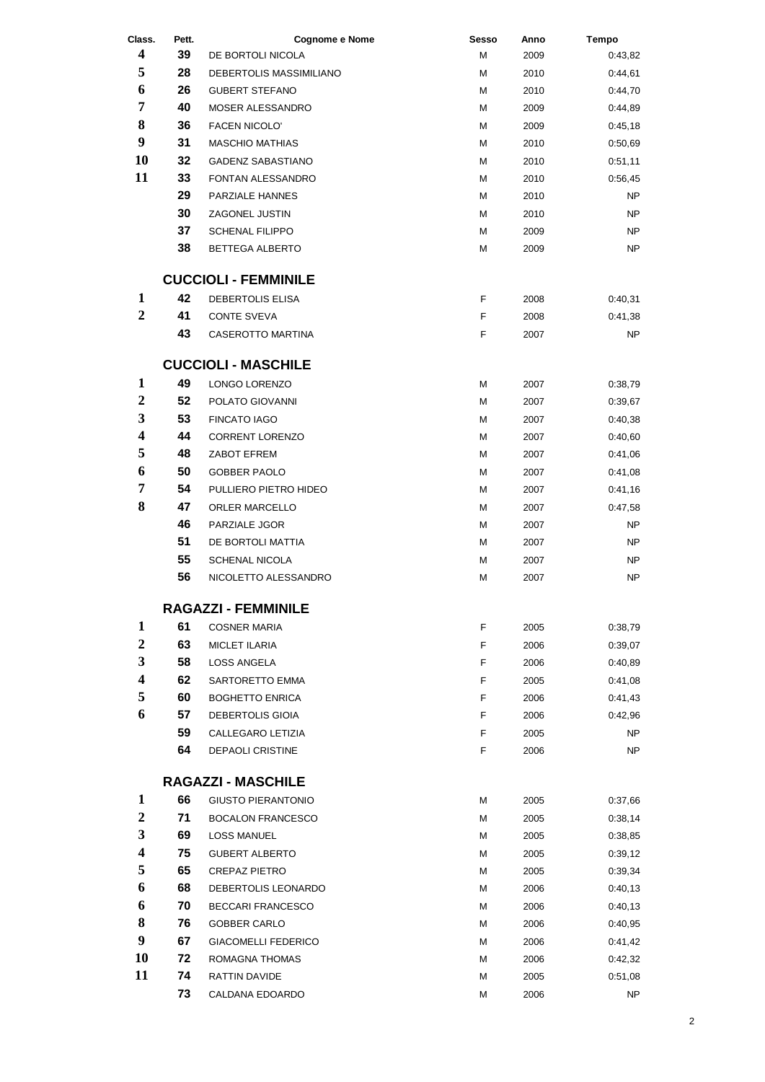| Class.                  | Pett. | <b>Cognome e Nome</b>       | <b>Sesso</b> | Anno | <b>Tempo</b> |
|-------------------------|-------|-----------------------------|--------------|------|--------------|
| $\overline{\mathbf{4}}$ | 39    | DE BORTOLI NICOLA           | M            | 2009 | 0:43,82      |
| 5                       | 28    | DEBERTOLIS MASSIMILIANO     | М            | 2010 | 0:44,61      |
| 6                       | 26    | <b>GUBERT STEFANO</b>       | М            | 2010 | 0:44,70      |
| 7                       | 40    | MOSER ALESSANDRO            | М            | 2009 | 0:44,89      |
| 8                       | 36    | <b>FACEN NICOLO'</b>        | М            | 2009 | 0:45,18      |
| 9                       | 31    | <b>MASCHIO MATHIAS</b>      | М            | 2010 | 0:50,69      |
| 10                      | 32    | <b>GADENZ SABASTIANO</b>    | М            | 2010 | 0:51,11      |
| 11                      | 33    | FONTAN ALESSANDRO           | М            | 2010 | 0:56,45      |
|                         | 29    | <b>PARZIALE HANNES</b>      | М            | 2010 | NP           |
|                         | 30    | ZAGONEL JUSTIN              | М            | 2010 | NP           |
|                         | 37    | <b>SCHENAL FILIPPO</b>      | М            | 2009 | NP           |
|                         | 38    | BETTEGA ALBERTO             | М            | 2009 | <b>NP</b>    |
|                         |       | <b>CUCCIOLI - FEMMINILE</b> |              |      |              |
| 1                       | 42    | DEBERTOLIS ELISA            | F            | 2008 | 0:40,31      |
| $\boldsymbol{2}$        | 41    | <b>CONTE SVEVA</b>          | F            | 2008 | 0:41,38      |
|                         | 43    | <b>CASEROTTO MARTINA</b>    | F            | 2007 | NP           |
|                         |       | <b>CUCCIOLI - MASCHILE</b>  |              |      |              |
| 1                       | 49    | LONGO LORENZO               | M            | 2007 | 0:38,79      |
| $\boldsymbol{2}$        | 52    | POLATO GIOVANNI             | М            | 2007 | 0:39,67      |
| 3                       | 53    | <b>FINCATO IAGO</b>         | М            | 2007 | 0:40,38      |
| 4                       | 44    | <b>CORRENT LORENZO</b>      | М            | 2007 | 0:40,60      |
| 5                       | 48    | ZABOT EFREM                 | М            | 2007 | 0:41,06      |
| 6                       | 50    | <b>GOBBER PAOLO</b>         | М            | 2007 | 0:41,08      |
| 7                       | 54    | PULLIERO PIETRO HIDEO       | М            | 2007 | 0:41,16      |
| 8                       | 47    | <b>ORLER MARCELLO</b>       | М            | 2007 | 0:47,58      |
|                         | 46    | PARZIALE JGOR               | М            | 2007 | NP           |
|                         | 51    | DE BORTOLI MATTIA           | М            | 2007 | NP           |
|                         | 55    | <b>SCHENAL NICOLA</b>       | М            | 2007 | NP           |
|                         | 56    | NICOLETTO ALESSANDRO        | М            | 2007 | NP           |
|                         |       | <b>RAGAZZI - FEMMINILE</b>  |              |      |              |
| 1                       | 61    | <b>COSNER MARIA</b>         | F            | 2005 | 0:38,79      |
| $\overline{2}$          | 63    | <b>MICLET ILARIA</b>        | F            | 2006 | 0:39,07      |
| 3                       | 58    | <b>LOSS ANGELA</b>          | F            | 2006 | 0:40,89      |
| 4                       | 62    | SARTORETTO EMMA             | F            | 2005 | 0:41,08      |
| 5                       | 60    | <b>BOGHETTO ENRICA</b>      | F            | 2006 | 0:41,43      |
| 6                       | 57    | <b>DEBERTOLIS GIOIA</b>     | F            | 2006 | 0:42,96      |
|                         | 59    | CALLEGARO LETIZIA           | F            | 2005 | NP           |
|                         | 64    | DEPAOLI CRISTINE            | F            | 2006 | NP           |
|                         |       | <b>RAGAZZI - MASCHILE</b>   |              |      |              |
| 1                       | 66    | <b>GIUSTO PIERANTONIO</b>   | М            | 2005 | 0:37,66      |
| $\boldsymbol{2}$        | 71    | <b>BOCALON FRANCESCO</b>    | м            | 2005 | 0:38,14      |
| 3                       | 69    | <b>LOSS MANUEL</b>          | М            | 2005 | 0:38,85      |
| 4                       | 75    | <b>GUBERT ALBERTO</b>       | М            | 2005 | 0:39,12      |
| 5                       | 65    | <b>CREPAZ PIETRO</b>        | М            | 2005 | 0:39,34      |
| 6                       | 68    | DEBERTOLIS LEONARDO         | М            | 2006 | 0:40,13      |
| 6                       | 70    | <b>BECCARI FRANCESCO</b>    | М            | 2006 | 0:40,13      |
| 8                       | 76    | <b>GOBBER CARLO</b>         | М            | 2006 | 0:40,95      |
| $\boldsymbol{9}$        | 67    | <b>GIACOMELLI FEDERICO</b>  | М            | 2006 | 0:41,42      |
| 10                      | 72    | ROMAGNA THOMAS              | М            | 2006 | 0:42,32      |
| 11                      | 74    | RATTIN DAVIDE               | М            | 2005 | 0:51,08      |
|                         | 73    | CALDANA EDOARDO             | М            | 2006 | NΡ           |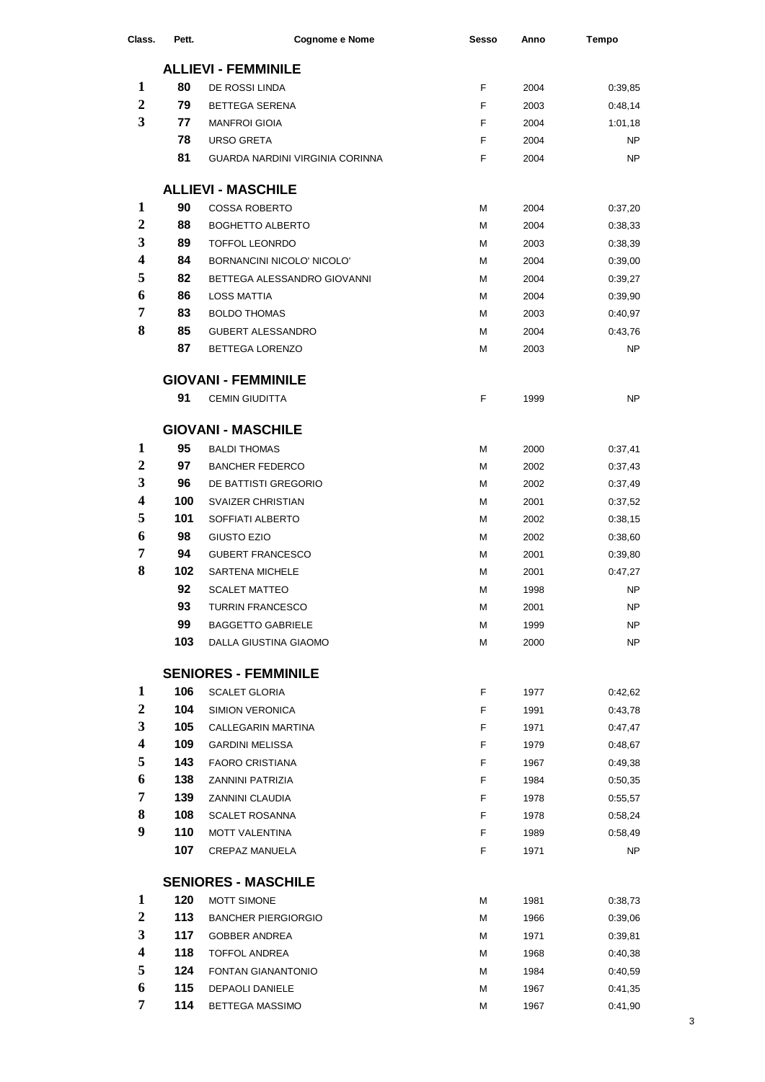| Class.                  | Pett. | Cognome e Nome                  | <b>Sesso</b> | Anno | <b>Tempo</b> |
|-------------------------|-------|---------------------------------|--------------|------|--------------|
|                         |       | <b>ALLIEVI - FEMMINILE</b>      |              |      |              |
| 1                       | 80    | DE ROSSI LINDA                  | F            | 2004 | 0:39,85      |
| $\mathbf{2}$            | 79    | BETTEGA SERENA                  | F            | 2003 | 0:48,14      |
| 3                       | 77    | <b>MANFROI GIOIA</b>            | F            | 2004 | 1:01,18      |
|                         | 78    | <b>URSO GRETA</b>               | F            | 2004 | <b>NP</b>    |
|                         | 81    | GUARDA NARDINI VIRGINIA CORINNA | F            | 2004 | <b>NP</b>    |
|                         |       | <b>ALLIEVI - MASCHILE</b>       |              |      |              |
| 1                       | 90    | <b>COSSA ROBERTO</b>            | М            | 2004 | 0:37,20      |
| $\overline{2}$          | 88    | <b>BOGHETTO ALBERTO</b>         | М            | 2004 | 0:38,33      |
| 3                       | 89    | <b>TOFFOL LEONRDO</b>           | M            | 2003 | 0:38,39      |
| $\overline{\mathbf{4}}$ | 84    | BORNANCINI NICOLO' NICOLO'      | M            | 2004 | 0:39,00      |
| 5                       | 82    | BETTEGA ALESSANDRO GIOVANNI     | M            | 2004 | 0:39,27      |
| 6                       | 86    | <b>LOSS MATTIA</b>              | М            | 2004 | 0:39,90      |
| 7                       | 83    | <b>BOLDO THOMAS</b>             | М            | 2003 | 0:40,97      |
| 8                       | 85    | <b>GUBERT ALESSANDRO</b>        | М            | 2004 | 0:43,76      |
|                         | 87    | <b>BETTEGA LORENZO</b>          | М            | 2003 | <b>NP</b>    |
|                         |       |                                 |              |      |              |
|                         |       | <b>GIOVANI - FEMMINILE</b>      |              |      |              |
|                         | 91    | <b>CEMIN GIUDITTA</b>           | F            | 1999 | <b>NP</b>    |
|                         |       | <b>GIOVANI - MASCHILE</b>       |              |      |              |
| 1                       | 95    | <b>BALDI THOMAS</b>             | М            | 2000 | 0:37,41      |
| $\overline{2}$          | 97    | <b>BANCHER FEDERCO</b>          | M            | 2002 | 0:37,43      |
| 3                       | 96    | DE BATTISTI GREGORIO            | M            | 2002 | 0:37,49      |
| $\overline{\mathbf{4}}$ | 100   | SVAIZER CHRISTIAN               | М            | 2001 | 0:37,52      |
| 5                       | 101   | SOFFIATI ALBERTO                | M            | 2002 | 0:38,15      |
| 6                       | 98    | GIUSTO EZIO                     | M            | 2002 | 0:38,60      |
| 7                       | 94    | <b>GUBERT FRANCESCO</b>         | М            | 2001 | 0:39,80      |
| 8                       | 102   | <b>SARTENA MICHELE</b>          | М            | 2001 | 0:47,27      |
|                         | 92    | <b>SCALET MATTEO</b>            | М            | 1998 | <b>NP</b>    |
|                         | 93    | <b>TURRIN FRANCESCO</b>         | M            | 2001 | <b>NP</b>    |
|                         | 99    | <b>BAGGETTO GABRIELE</b>        | М            | 1999 | <b>NP</b>    |
|                         | 103   | DALLA GIUSTINA GIAOMO           | M            | 2000 | <b>NP</b>    |
|                         |       | <b>SENIORES - FEMMINILE</b>     |              |      |              |
| $\mathbf{1}$            | 106   | <b>SCALET GLORIA</b>            | F            | 1977 | 0:42,62      |
| $\boldsymbol{2}$        | 104   | <b>SIMION VERONICA</b>          | F            | 1991 | 0:43,78      |
| 3                       | 105   | CALLEGARIN MARTINA              | F            | 1971 | 0:47,47      |
| 4                       | 109   | <b>GARDINI MELISSA</b>          | F            | 1979 | 0:48,67      |
| 5                       | 143   | <b>FAORO CRISTIANA</b>          | F            | 1967 | 0:49,38      |
| 6                       | 138   | ZANNINI PATRIZIA                | F            | 1984 | 0:50,35      |
| 7                       | 139   | ZANNINI CLAUDIA                 | F            | 1978 | 0:55,57      |
| 8                       | 108   | <b>SCALET ROSANNA</b>           | F            | 1978 | 0:58,24      |
| 9                       | 110   | <b>MOTT VALENTINA</b>           | F            | 1989 | 0:58,49      |
|                         | 107   | CREPAZ MANUELA                  | F            | 1971 | <b>NP</b>    |
|                         |       | <b>SENIORES - MASCHILE</b>      |              |      |              |
| $\mathbf{1}$            | 120   | MOTT SIMONE                     | М            | 1981 | 0:38,73      |
| $\boldsymbol{2}$        | 113   | <b>BANCHER PIERGIORGIO</b>      | М            | 1966 | 0:39,06      |
| 3                       | 117   | <b>GOBBER ANDREA</b>            | М            | 1971 | 0:39,81      |
| 4                       | 118   | <b>TOFFOL ANDREA</b>            | М            | 1968 | 0:40,38      |
| 5                       | 124   | <b>FONTAN GIANANTONIO</b>       | М            | 1984 | 0:40,59      |
| 6                       | 115   | <b>DEPAOLI DANIELE</b>          | М            | 1967 | 0:41,35      |
| 7                       | 114   | BETTEGA MASSIMO                 | М            | 1967 | 0:41,90      |